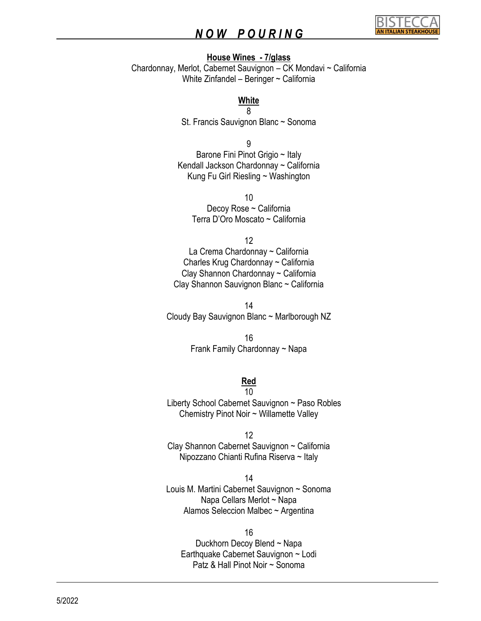

#### **House Wines - 7/glass**

Chardonnay, Merlot, Cabernet Sauvignon – CK Mondavi ~ California White Zinfandel – Beringer ~ California

#### **White**

8 St. Francis Sauvignon Blanc ~ Sonoma

9 Barone Fini Pinot Grigio ~ Italy Kendall Jackson Chardonnay ~ California Kung Fu Girl Riesling ~ Washington

> 10 Decoy Rose ~ California Terra D'Oro Moscato ~ California

> > 12

La Crema Chardonnay ~ California Charles Krug Chardonnay ~ California Clay Shannon Chardonnay ~ California Clay Shannon Sauvignon Blanc ~ California

14 Cloudy Bay Sauvignon Blanc ~ Marlborough NZ

> 16 Frank Family Chardonnay ~ Napa

#### **Red**  10

 Liberty School Cabernet Sauvignon ~ Paso Robles Chemistry Pinot Noir ~ Willamette Valley

12 Clay Shannon Cabernet Sauvignon ~ California Nipozzano Chianti Rufina Riserva ~ Italy

14 Louis M. Martini Cabernet Sauvignon ~ Sonoma Napa Cellars Merlot ~ Napa Alamos Seleccion Malbec ~ Argentina

16 Duckhorn Decoy Blend ~ Napa Earthquake Cabernet Sauvignon ~ Lodi Patz & Hall Pinot Noir ~ Sonoma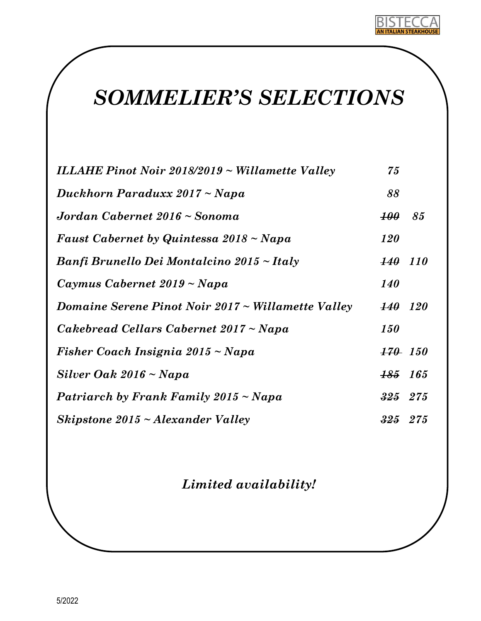

# *SOMMELIER'S SELECTIONS*

| ILLAHE Pinot Noir 2018/2019 ~ Willamette Valley         | 75                 |            |
|---------------------------------------------------------|--------------------|------------|
| Duckhorn Paraduxx 2017 ~ Napa                           | 88                 |            |
| Jordan Cabernet 2016 ~ Sonoma                           | <b>100</b>         | 85         |
| Faust Cabernet by Quintessa 2018 ~ Napa                 | <b>120</b>         |            |
| Banfi Brunello Dei Montalcino 2015 ~ Italy              | <b>140</b> 110     |            |
| Caymus Cabernet $2019 \sim Napa$                        | <b>140</b>         |            |
| Domaine Serene Pinot Noir $2017 \sim$ Willamette Valley | <i><b>140</b></i>  | <b>120</b> |
| Cakebread Cellars Cabernet 2017 ~ Napa                  | <i><b>150</b></i>  |            |
| Fisher Coach Insignia 2015 ~ Napa                       | <b>170</b> 150     |            |
| Silver Oak $2016 \sim Napa$                             | <del>185</del> 165 |            |
| Patriarch by Frank Family 2015 ~ Napa                   | $325$ 275          |            |
| Skipstone $2015 \sim Alexander$ Valley                  | <del>325</del> 275 |            |

*Limited availability!*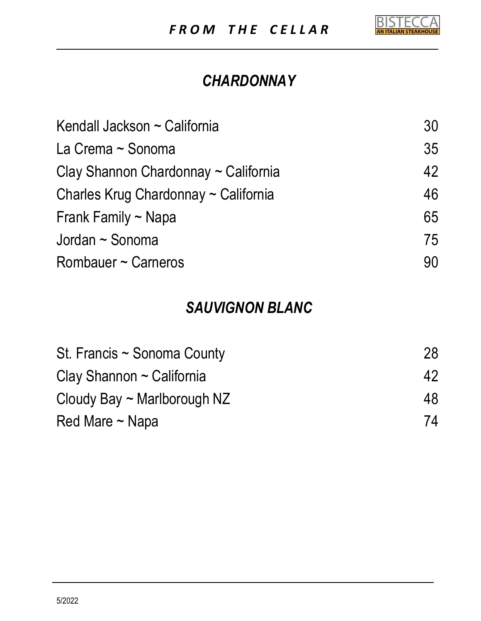

### *CHARDONNAY*

| Kendall Jackson ~ California         | 30 |
|--------------------------------------|----|
| La Crema ~ Sonoma                    | 35 |
| Clay Shannon Chardonnay ~ California | 42 |
| Charles Krug Chardonnay ~ California | 46 |
| Frank Family $\sim$ Napa             | 65 |
| Jordan ~ Sonoma                      | 75 |
| Rombauer ~ Carneros                  | 90 |

#### *SAUVIGNON BLANC*

| St. Francis $\sim$ Sonoma County<br>Clay Shannon $\sim$ California<br>Cloudy Bay $\sim$ Marlborough NZ<br>Red Mare $\sim$ Napa | 28 |
|--------------------------------------------------------------------------------------------------------------------------------|----|
|                                                                                                                                | 42 |
|                                                                                                                                | 48 |
|                                                                                                                                | 74 |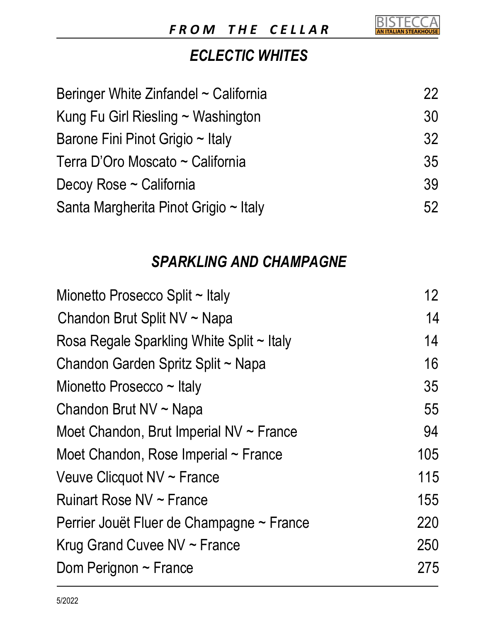

#### *ECLECTIC WHITES*

| Beringer White Zinfandel ~ California   | <b>22</b> |
|-----------------------------------------|-----------|
| Kung Fu Girl Riesling $\sim$ Washington | 30        |
| Barone Fini Pinot Grigio ~ Italy        | 32        |
| Terra D'Oro Moscato ~ California        | 35        |
| Decoy Rose ~ California                 | 39        |
| Santa Margherita Pinot Grigio ~ Italy   | 52        |

#### *SPARKLING AND CHAMPAGNE*

| Mionetto Prosecco Split ~ Italy              | 12 <sup>2</sup> |
|----------------------------------------------|-----------------|
| Chandon Brut Split NV ~ Napa                 | 14              |
| Rosa Regale Sparkling White Split ~ Italy    | 14              |
| Chandon Garden Spritz Split ~ Napa           | 16              |
| Mionetto Prosecco $\sim$ Italy               | 35              |
| Chandon Brut NV ~ Napa                       | 55              |
| Moet Chandon, Brut Imperial $NV \sim$ France | 94              |
| Moet Chandon, Rose Imperial $\sim$ France    | 105             |
| Veuve Clicquot NV ~ France                   | 115             |
| Ruinart Rose NV ~ France                     | 155             |
| Perrier Jouët Fluer de Champagne ~ France    | 220             |
| Krug Grand Cuvee $NV \sim$ France            | 250             |
| Dom Perignon $\sim$ France                   | 275             |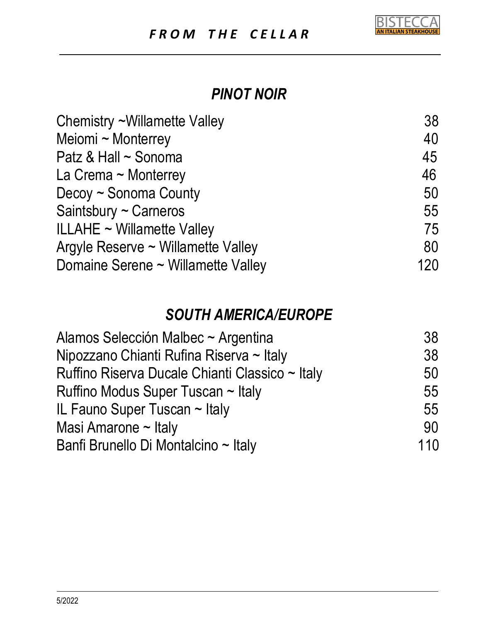

#### *PINOT NOIR*

| Chemistry ~Willamette Valley       | 38  |
|------------------------------------|-----|
| Meiomi ~ Monterrey                 | 40  |
| Patz & Hall ~ Sonoma               | 45  |
| La Crema ~ Monterrey               | 46  |
| Decoy ~ Sonoma County              | 50  |
| Saintsbury ~ Carneros              | 55  |
| <b>ILLAHE ~ Willamette Valley</b>  | 75  |
| Argyle Reserve ~ Willamette Valley | 80  |
| Domaine Serene ~ Willamette Valley | 120 |

#### *SOUTH AMERICA/EUROPE*

| Alamos Selección Malbec ~ Argentina             | 38  |
|-------------------------------------------------|-----|
| Nipozzano Chianti Rufina Riserva ~ Italy        | 38  |
| Ruffino Riserva Ducale Chianti Classico ~ Italy | 50  |
| Ruffino Modus Super Tuscan ~ Italy              | 55  |
| IL Fauno Super Tuscan $\sim$ Italy              | 55  |
| Masi Amarone $\sim$ Italy                       | 90  |
| Banfi Brunello Di Montalcino ~ Italy            | 110 |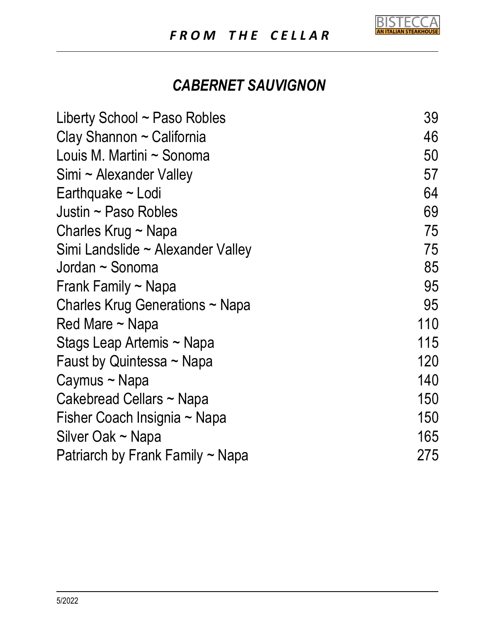

### *CABERNET SAUVIGNON*

| Liberty School $\sim$ Paso Robles     | 39  |
|---------------------------------------|-----|
| Clay Shannon ~ California             | 46  |
| Louis M. Martini ~ Sonoma             | 50  |
| Simi ~ Alexander Valley               | 57  |
| Earthquake ~ Lodi                     | 64  |
| Justin $\sim$ Paso Robles             | 69  |
| Charles Krug ~ Napa                   | 75  |
| Simi Landslide ~ Alexander Valley     | 75  |
| Jordan ~ Sonoma                       | 85  |
| Frank Family $\sim$ Napa              | 95  |
| Charles Krug Generations ~ Napa       | 95  |
| Red Mare $\sim$ Napa                  | 110 |
| Stags Leap Artemis ~ Napa             | 115 |
| Faust by Quintessa $\sim$ Napa        | 120 |
| Caymus ~ Napa                         | 140 |
| Cakebread Cellars ~ Napa              | 150 |
| Fisher Coach Insignia ~ Napa          | 150 |
| Silver Oak ~ Napa                     | 165 |
| Patriarch by Frank Family $\sim$ Napa | 275 |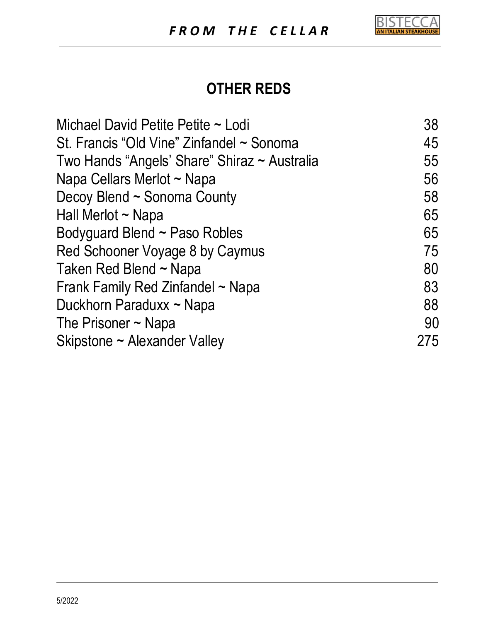

#### **OTHER REDS**

| Michael David Petite Petite ~ Lodi           | 38  |
|----------------------------------------------|-----|
| St. Francis "Old Vine" Zinfandel ~ Sonoma    | 45  |
| Two Hands "Angels' Share" Shiraz ~ Australia | 55  |
| Napa Cellars Merlot ~ Napa                   | 56  |
| Decoy Blend ~ Sonoma County                  | 58  |
| Hall Merlot ~ Napa                           | 65  |
| Bodyguard Blend ~ Paso Robles                | 65  |
| Red Schooner Voyage 8 by Caymus              | 75  |
| Taken Red Blend ~ Napa                       | 80  |
| Frank Family Red Zinfandel ~ Napa            | 83  |
| Duckhorn Paraduxx ~ Napa                     | 88  |
| The Prisoner $\sim$ Napa                     | 90  |
| Skipstone ~ Alexander Valley                 | 275 |
|                                              |     |